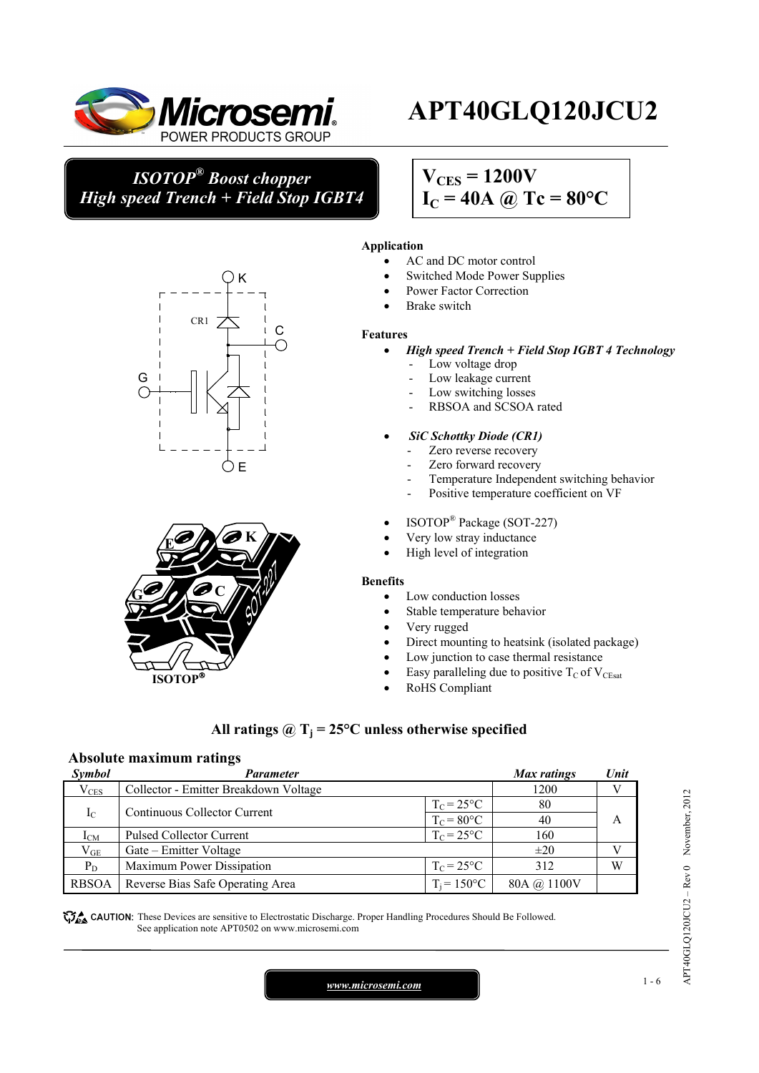

 $CR1$ <sup>-</sup>

# **APT40GLQ120JCU2**

*ISOTOP® Boost chopper High speed Trench + Field Stop IGBT4*

K

 $\mathsf{C}$ 

ÒЕ

## $V_{CES} = 1200V$

## $I_C = 40A \ @ \text{Te} = 80^{\circ}\text{C}$

#### **Application**

- AC and DC motor control
- Switched Mode Power Supplies
- Power Factor Correction
- Brake switch

#### **Features**

- *High speed Trench + Field Stop IGBT 4 Technology* 
	- Low voltage drop
	- Low leakage current
	- Low switching losses
	- RBSOA and SCSOA rated
	- • *SiC Schottky Diode (CR1)* 
		- Zero reverse recovery
		- Zero forward recovery
		- Temperature Independent switching behavior
		- Positive temperature coefficient on VF
	- ISOTOP® Package (SOT-227)
	- Very low stray inductance
	- High level of integration

#### **Benefits**

- Low conduction losses
- Stable temperature behavior
- Very rugged
- Direct mounting to heatsink (isolated package)
- Low junction to case thermal resistance
- Easy paralleling due to positive  $T_{\rm C}$  of  $V_{\rm CEsat}$
- RoHS Compliant

### All ratings  $\omega_{\text{I}} = 25^{\circ}\text{C}$  unless otherwise specified

#### **Absolute maximum ratings**

G

| Symbol       | Parameter                             |                | Max ratings | Unit |
|--------------|---------------------------------------|----------------|-------------|------|
| $V_{CES}$    | Collector - Emitter Breakdown Voltage |                | 1200        |      |
| $I_{\rm C}$  | Continuous Collector Current          | $T_c = 25$ °C  | 80          |      |
|              |                                       | $T_c = 80$ °C  | 40          | A    |
| $I_{CM}$     | <b>Pulsed Collector Current</b>       | $T_c = 25$ °C  | 160         |      |
| $\rm V_{GE}$ | Gate – Emitter Voltage                |                | $\pm 20$    |      |
| $P_D$        | Maximum Power Dissipation             | $T_c = 25$ °C  | 312         | W    |
| <b>RBSOA</b> | Reverse Bias Safe Operating Area      | $T_i = 150$ °C | 80A @ 1100V |      |

**These** CAUTION: These Devices are sensitive to Electrostatic Discharge. Proper Handling Procedures Should Be Followed. See application note APT0502 on www.microsemi.com



APT40GLQ120JCU2 – Rev 0 November, 2012

APT40GLQ120JCU2 - Rev 0 November, 2012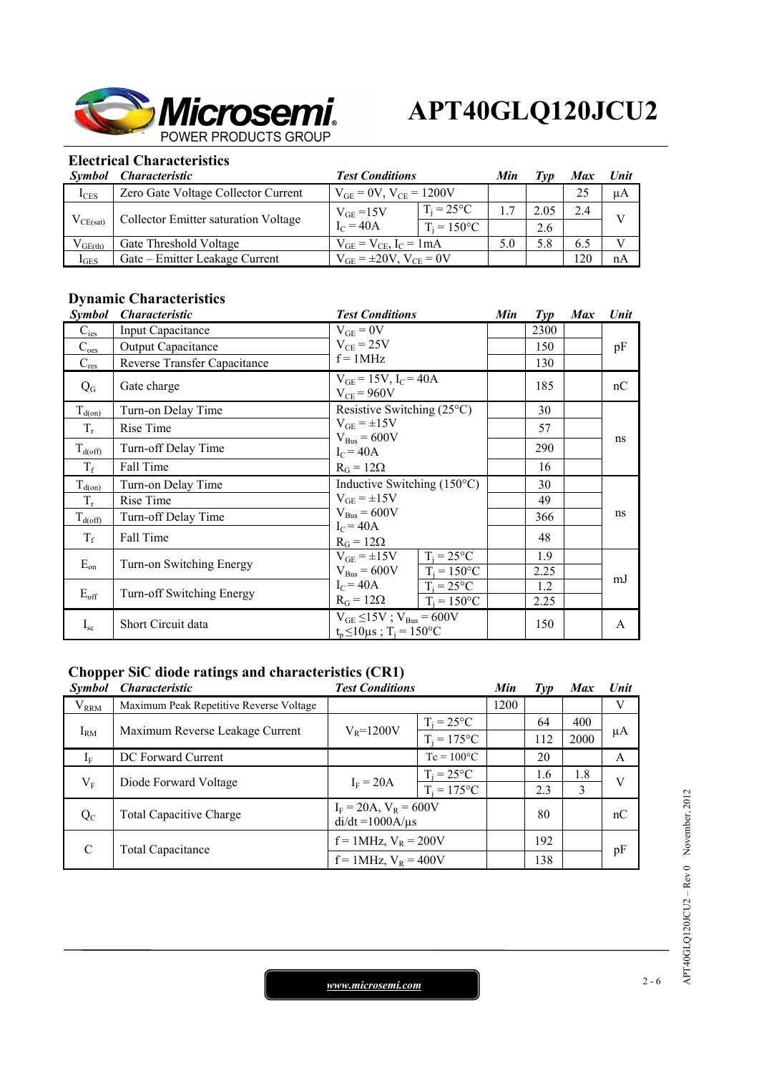

## **Electrical Characteristics**

| Symbol           | Characteristic                       | <b>Test Conditions</b>              |                      | Min | ľvn  | Max | Unit         |
|------------------|--------------------------------------|-------------------------------------|----------------------|-----|------|-----|--------------|
| $I_{CES}$        | Zero Gate Voltage Collector Current  | $V_{GE} = 0V$ , $V_{CE} = 1200V$    |                      |     |      | 25  | μA           |
| $V_{CE(sat)}$    | Collector Emitter saturation Voltage | $V_{GE} = 15V$                      | $T_i = 25^{\circ}C$  |     | 2.05 | 2.4 | 17           |
|                  |                                      | $I_C = 40A$                         | $T_i = 150^{\circ}C$ |     | 2.6  |     |              |
| $V_{GE(th)}$     | Gate Threshold Voltage               | $V_{GE} = V_{CE}$ , $I_C = 1mA$     |                      | 5.0 | 5.8  | 6.5 | $\mathbf{V}$ |
| $1_{\text{GES}}$ | Gate – Emitter Leakage Current       | $V_{GE} = \pm 20 V$ , $V_{CE} = 0V$ |                      |     |      | 20  | nA           |

## **Dynamic Characteristics**

| <i>Symbol</i>       | <i><b>Characteristic</b></i> | <b>Test Conditions</b>                                             | Min | $\mathcal{I}yp$ | <b>Max</b> | Unit |
|---------------------|------------------------------|--------------------------------------------------------------------|-----|-----------------|------------|------|
| $C_{\text{ies}}$    | Input Capacitance            | $V_{GE} = 0V$                                                      |     | 2300            |            |      |
| $C_{\text{oes}}$    | <b>Output Capacitance</b>    | $V_{CE}$ = 25V                                                     |     | 150             |            | pF   |
| $C_{res}$           | Reverse Transfer Capacitance | $f = 1$ MHz                                                        |     | 130             |            |      |
| $Q_{G}$             | Gate charge                  | $V_{GE} = 15V$ , $I_C = 40A$<br>$V_{CE}$ = 960V                    |     | 185             |            | nC   |
| $T_{d(on)}$         | Turn-on Delay Time           | Resistive Switching $(25^{\circ}C)$                                |     | 30              |            |      |
| $T_r$               | Rise Time                    | $V_{GE} = \pm 15V$                                                 |     | 57              |            | ns   |
| $T_{\text{d(off)}}$ | Turn-off Delay Time          | $V_{Bus} = 600V$<br>$I_C = 40A$                                    |     | 290             |            |      |
| $T_f$               | Fall Time                    | $R_G = 12\Omega$                                                   |     | 16              |            |      |
| $T_{d(on)}$         | Turn-on Delay Time           | Inductive Switching $(150^{\circ}C)$                               |     | 30              |            |      |
| $T_r$               | Rise Time                    | $V_{GE} = \pm 15V$                                                 |     | 49              |            |      |
| $T_{d(off)}$        | Turn-off Delay Time          | $V_{Bus} = 600V$<br>$I_C = 40A$                                    |     | 366             |            | ns   |
| $T_f$               | Fall Time                    | $R_G = 12\Omega$                                                   |     | 48              |            |      |
| $E_{on}$            | Turn-on Switching Energy     | $T_i = 25$ °C<br>$V_{GE} = \pm 15V$                                |     | 1.9             |            |      |
|                     |                              | $V_{\text{Bus}} = 600V$<br>$T_i = 150$ °C                          |     | 2.25            |            | mJ   |
| $E_{\rm off}$       | Turn-off Switching Energy    | $I_C = 40A$<br>$T_i = 25$ °C<br>$R_G = 12\Omega$<br>$T_i = 150$ °C |     | 1.2<br>2.25     |            |      |
|                     |                              | $V_{GE} \le 15V$ ; $V_{Bus} = 600V$                                |     |                 |            |      |
| $I_{sc}$            | Short Circuit data           | $t_{p} \le 10 \mu s$ ; T <sub>i</sub> = 150°C                      |     | 150             |            | A    |

## **Chopper SiC diode ratings and characteristics (CR1)**

| <i>Symbol</i> | <i><b>Characteristic</b></i>            | <b>Test Conditions</b>                              |                     | Min  | $\mathcal{I}yp$ | <b>Max</b> | Unit |
|---------------|-----------------------------------------|-----------------------------------------------------|---------------------|------|-----------------|------------|------|
| $V_{RRM}$     | Maximum Peak Repetitive Reverse Voltage |                                                     |                     | 1200 |                 |            | V    |
| $I_{RM}$      | Maximum Reverse Leakage Current         | $V_R = 1200V$                                       | $T_i = 25$ °C       |      | 64              | 400        |      |
|               |                                         |                                                     | $T_i = 175$ °C      |      | 112             | 2000       | μA   |
| $I_F$         | DC Forward Current                      |                                                     | $Tc = 100^{\circ}C$ |      | 20              |            | A    |
| $V_{\rm F}$   | Diode Forward Voltage                   | $T_i = 25$ °C<br>$I_F = 20A$<br>$T_i = 175$ °C      |                     |      | 1.6             | 1.8        | V    |
|               |                                         |                                                     |                     | 2.3  | 3               |            |      |
| $Q_{C}$       | <b>Total Capacitive Charge</b>          | $I_F = 20A$ , $V_R = 600V$<br>$di/dt = 1000A/\mu s$ |                     |      | 80              |            | nC   |
| $\mathcal{C}$ | Total Capacitance                       | $f = 1$ MHz, $V_R = 200V$                           |                     |      | 192             |            | pF   |
|               |                                         | $f = 1$ MHz, $V_R = 400V$                           |                     |      | 138             |            |      |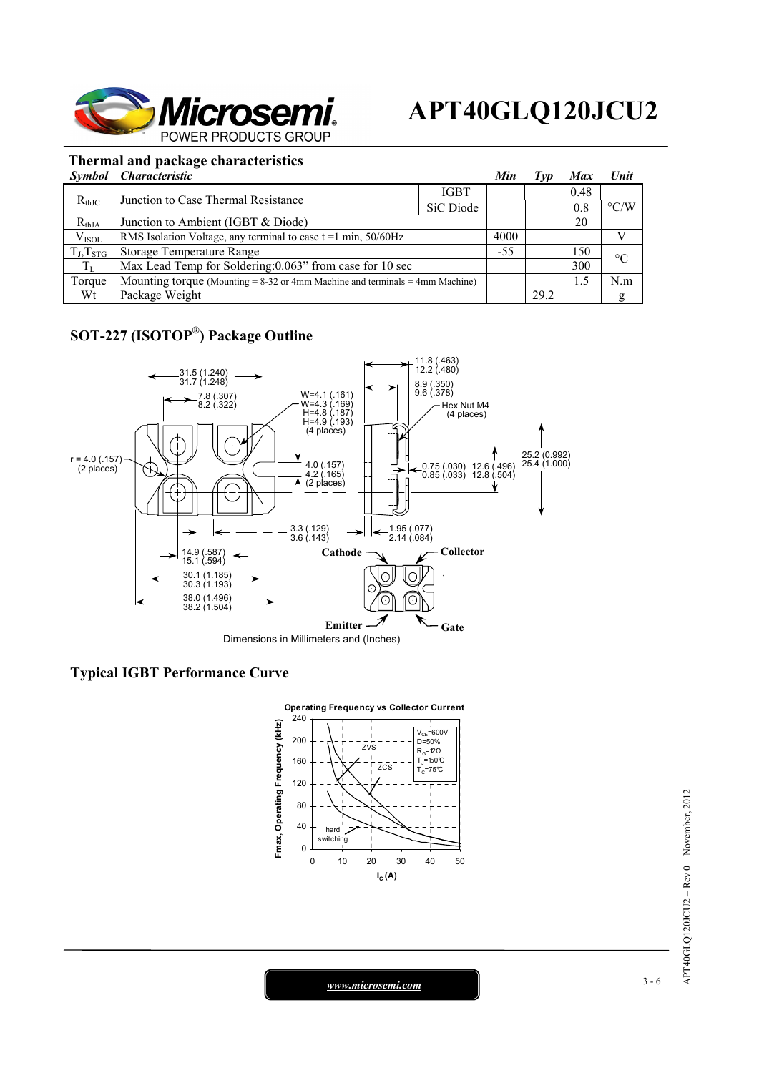

### **Thermal and package characteristics**

|                | Symbol Characteristic                                                             |             | Min   | Iyp  | Max  | <b>Unit</b>        |  |
|----------------|-----------------------------------------------------------------------------------|-------------|-------|------|------|--------------------|--|
| $R_{thJC}$     | Junction to Case Thermal Resistance                                               | <b>IGBT</b> |       |      | 0.48 | $\rm ^{\circ}$ C/W |  |
|                |                                                                                   | SiC Diode   |       |      | 0.8  |                    |  |
| $R_{thJA}$     | Junction to Ambient (IGBT & Diode)                                                |             |       |      | 20   |                    |  |
| $V_{ISOL}$     | RMS Isolation Voltage, any terminal to case $t = 1$ min, $50/60$ Hz               |             | 4000  |      |      |                    |  |
| $T_J, T_{STG}$ | Storage Temperature Range                                                         |             | $-55$ |      | 150  | $\rm ^{\circ}C$    |  |
| $T_{L}$        | Max Lead Temp for Soldering: 0.063" from case for 10 sec                          |             |       |      | 300  |                    |  |
| Torque         | Mounting torque (Mounting $= 8-32$ or 4mm Machine and terminals $= 4$ mm Machine) |             |       |      | 1.5  | N.m                |  |
| Wt             | Package Weight                                                                    |             |       | 29.2 |      | g                  |  |

## **SOT-227 (ISOTOP®) Package Outline**



### **Typical IGBT Performance Curve**



APT40GLQ120JCU2 - Rev 0 November, 2012 APT40GLQ120JCU2 – Rev 0 November, 2012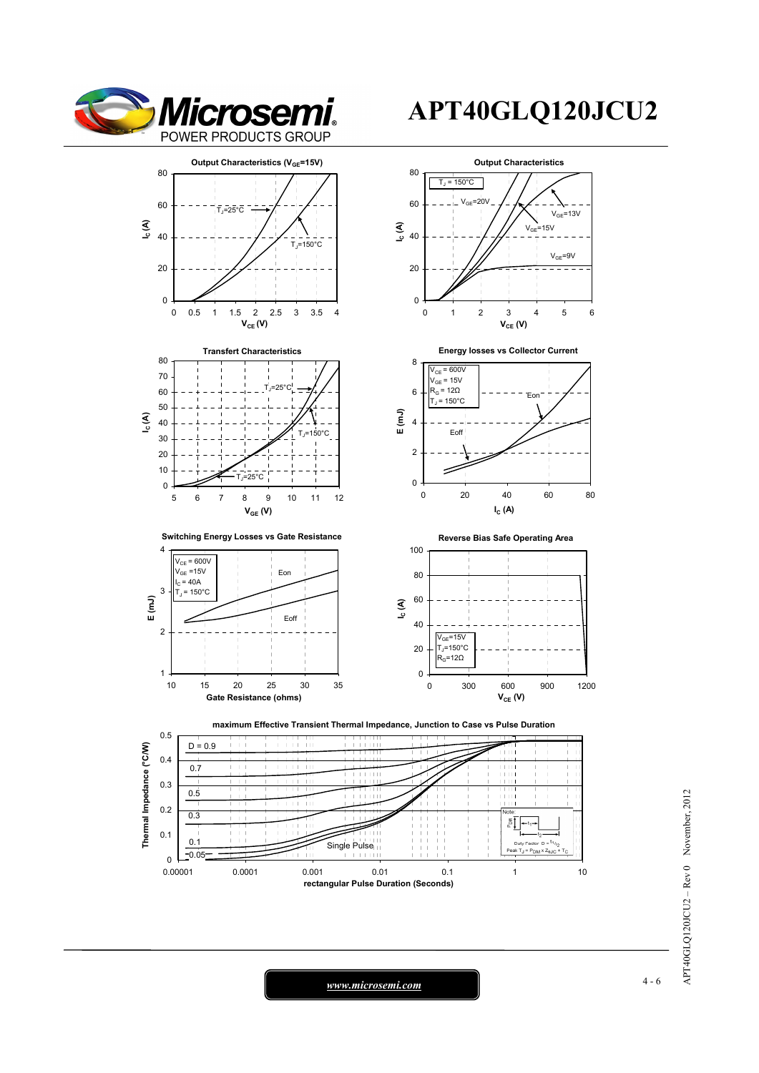

# **APT40GLQ120JCU2**



 *www.microsemi.com* 4-6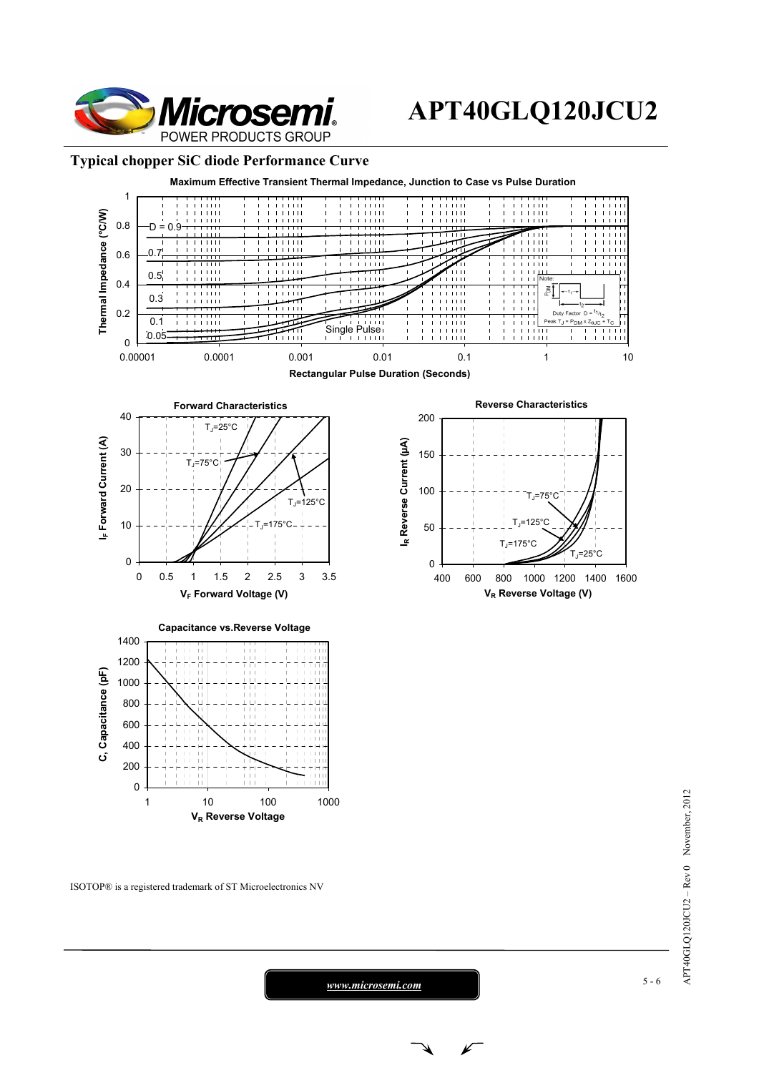

## **APT40GLQ120JCU2**

#### **Typical chopper SiC diode Performance Curve**



ISOTOP® is a registered trademark of ST Microelectronics NV

APT40GLQ120JCU2 - Rev 0 November, 2012 APT40GLQ120JCU2 – Rev 0 November, 2012

 *www.microsemi.com* 5-6